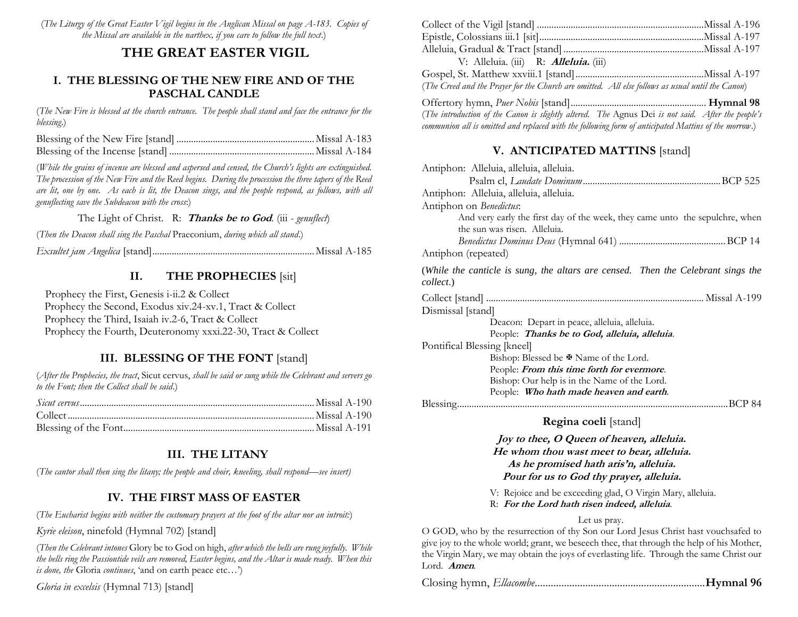(*The Liturgy of the Great Easter Vigil begins in the Anglican Missal on page A-183. Copies of the Missal are available in the narthex, if you care to follow the full text*.)

## **THE GREAT EASTER VIGIL**

#### **I. THE BLESSING OF THE NEW FIRE AND OF THE PASCHAL CANDLE**

(*The New Fire is blessed at the church entrance. The people shall stand and face the entrance for the blessing*.)

(*While the grains of incense are blessed and aspersed and censed, the Church's lights are extinguished. The procession of the New Fire and the Reed begins. During the procession the three tapers of the Reed are lit, one by one. As each is lit, the Deacon sings, and the people respond, as follows, with all genuflecting save the Subdeacon with the cross*:)

The Light of Christ. R: **Thanks be to God***.* (iii - *genuflect*)

(*Then the Deacon shall sing the Paschal* Praeconium, *during which all stand*.)

*Exsultet jam Angelica* [stand]...................................................................Missal A-185

#### **II. THE PROPHECIES** [sit]

 Prophecy the First, Genesis i-ii.2 & Collect Prophecy the Second, Exodus xiv.24-xv.1, Tract & Collect Prophecy the Third, Isaiah iv.2-6, Tract & Collect Prophecy the Fourth, Deuteronomy xxxi.22-30, Tract & Collect

### **III. BLESSING OF THE FONT** [stand]

(*After the Prophecies, the tract*, Sicut cervus, *shall be said or sung while the Celebrant and servers go to the Font; then the Collect shall be said*.)

### **III. THE LITANY**

(*The cantor shall then sing the litany; the people and choir, kneeling, shall respond—see insert)*

### **IV. THE FIRST MASS OF EASTER**

(*The Eucharist begins with neither the customary prayers at the foot of the altar nor an introit:*)

*Kyrie eleison*, ninefold (Hymnal 702) [stand]

(*Then the Celebrant intones* Glory be to God on high, *after which the bells are rung joyfully. While the bells ring the Passiontide veils are removed, Easter begins, and the Altar is made ready. When this is done, the* Gloria *continues*, 'and on earth peace etc…')

*Gloria in excelsis* (Hymnal 713) [stand]

| V: Alleluia. (iii) R: <b>Alleluia.</b> (iii)                                                     |  |
|--------------------------------------------------------------------------------------------------|--|
|                                                                                                  |  |
| (The Creed and the Prayer for the Church are omitted. All else follows as usual until the Canon) |  |
|                                                                                                  |  |

(*The introduction of the Canon is slightly altered. The* Agnus Dei *is not said. After the people's communion all is omitted and replaced with the following form of anticipated Mattins of the morrow*.)

## **V. ANTICIPATED MATTINS** [stand]

| Antiphon: Alleluia, alleluia, alleluia.                                                                      |  |  |  |
|--------------------------------------------------------------------------------------------------------------|--|--|--|
|                                                                                                              |  |  |  |
| Antiphon: Alleluia, alleluia, alleluia.                                                                      |  |  |  |
| Antiphon on Benedictus:                                                                                      |  |  |  |
| And very early the first day of the week, they came unto the sepulchre, when<br>the sun was risen. Alleluia. |  |  |  |
|                                                                                                              |  |  |  |
| Antiphon (repeated)                                                                                          |  |  |  |
| (While the canticle is sung, the altars are censed. Then the Celebrant sings the<br>collect.)                |  |  |  |
|                                                                                                              |  |  |  |
| Dismissal [stand]                                                                                            |  |  |  |
| Deacon: Depart in peace, alleluia, alleluia.                                                                 |  |  |  |
| People: Thanks be to God, alleluia, alleluia.                                                                |  |  |  |
| Pontifical Blessing [kneel]                                                                                  |  |  |  |
| Bishop: Blessed be $\mathbb F$ Name of the Lord.                                                             |  |  |  |
| People: <i>From this time forth for evermore</i> .                                                           |  |  |  |
| Bishop: Our help is in the Name of the Lord.                                                                 |  |  |  |
| People: Who hath made heaven and earth.                                                                      |  |  |  |
| BCP 84                                                                                                       |  |  |  |
| <b>Regina coeli</b> [stand]                                                                                  |  |  |  |

## **Regina coeli** [stand]

**Joy to thee, O Queen of heaven, alleluia. He whom thou wast meet to bear, alleluia. As he promised hath aris'n, alleluia. Pour for us to God thy prayer, alleluia.**

- V: Rejoice and be exceeding glad, O Virgin Mary, alleluia.
- R: **For the Lord hath risen indeed, alleluia**.

#### Let us pray.

O GOD, who by the resurrection of thy Son our Lord Jesus Christ hast vouchsafed to give joy to the whole world; grant, we beseech thee, that through the help of his Mother, the Virgin Mary, we may obtain the joys of everlasting life. Through the same Christ our Lord. **Amen***.*

Closing hymn, *Ellacombe*................................................................**Hymnal 96**